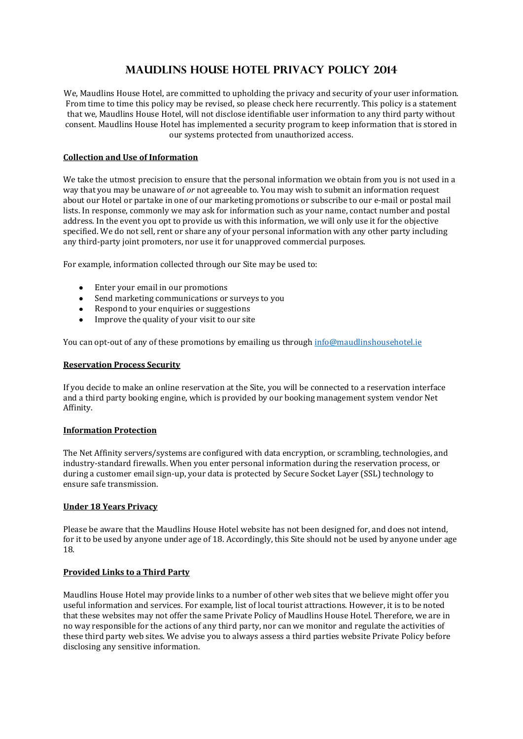# **Maudlins house Hotel Privacy Policy 2014**

We, Maudlins House Hotel, are committed to upholding the privacy and security of your user information. From time to time this policy may be revised, so please check here recurrently. This policy is a statement that we, Maudlins House Hotel, will not disclose identifiable user information to any third party without consent. Maudlins House Hotel has implemented a security program to keep information that is stored in our systems protected from unauthorized access.

## **Collection and Use of Information**

We take the utmost precision to ensure that the personal information we obtain from you is not used in a way that you may be unaware of *or* not agreeable to. You may wish to submit an information request about our Hotel or partake in one of our marketing promotions or subscribe to our e-mail or postal mail lists. In response, commonly we may ask for information such as your name, contact number and postal address. In the event you opt to provide us with this information, we will only use it for the objective specified. We do not sell, rent or share any of your personal information with any other party including any third-party joint promoters, nor use it for unapproved commercial purposes.

For example, information collected through our Site may be used to:

- Enter your email in our promotions
- Send marketing communications or surveys to you
- Respond to your enquiries or suggestions
- $\bullet$ Improve the quality of your visit to our site

You can opt-out of any of these promotions by emailing us through [info@maudlinshousehotel.ie](mailto:info@maudlinshousehotel.ie)

#### **Reservation Process Security**

If you decide to make an online reservation at the Site, you will be connected to a reservation interface and a third party booking engine, which is provided by our booking management system vendor Net Affinity.

#### **Information Protection**

The Net Affinity servers/systems are configured with data encryption, or scrambling, technologies, and industry-standard firewalls. When you enter personal information during the reservation process, or during a customer email sign-up, your data is protected by Secure Socket Layer (SSL) technology to ensure safe transmission.

#### **Under 18 Years Privacy**

Please be aware that the Maudlins House Hotel website has not been designed for, and does not intend, for it to be used by anyone under age of 18. Accordingly, this Site should not be used by anyone under age 18.

#### **Provided Links to a Third Party**

Maudlins House Hotel may provide links to a number of other web sites that we believe might offer you useful information and services. For example, list of local tourist attractions. However, it is to be noted that these websites may not offer the same Private Policy of Maudlins House Hotel. Therefore, we are in no way responsible for the actions of any third party, nor can we monitor and regulate the activities of these third party web sites. We advise you to always assess a third parties website Private Policy before disclosing any sensitive information.